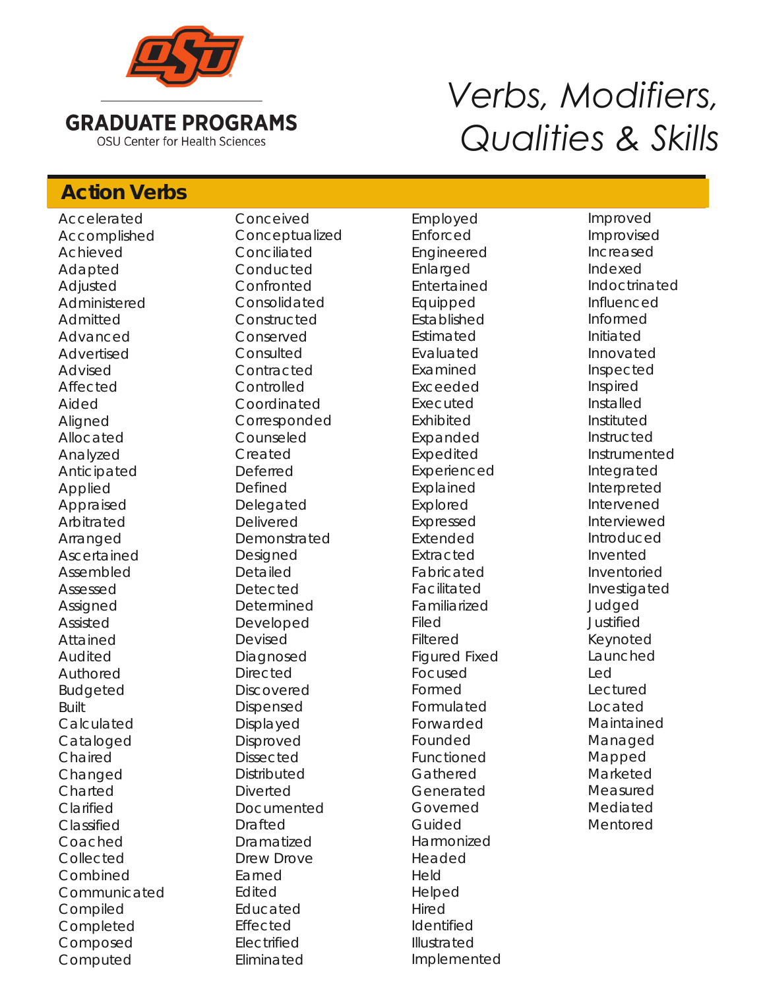

# *Verbs, Modifiers, Qualities & Skills*

## **Action Verbs Action Verbs**

Accelerated Accomplished Achieved Adapted Adjusted Administered Admitted Advanced Advertised Advised Affected Aided Aligned Allocated Analyzed Anticipated Applied Appraised Arbitrated Arranged Ascertained Assembled Assessed Assigned Assisted Attained Audited Authored Budgeted Built Calculated Cataloged Chaired Changed Charted Clarified Classified Coached Collected Combined Communicated Compiled Completed Composed Computed

Conceived Conceptualized Conciliated Conducted Confronted Consolidated **Constructed** Conserved Consulted **Contracted Controlled** Coordinated Corresponded Counseled Created Deferred Defined Delegated Delivered Demonstrated Designed Detailed Detected Determined Developed Devised Diagnosed **Directed Discovered** Dispensed Displayed Disproved Dissected **Distributed** Diverted Documented Drafted Dramatized Drew Drove Earned Edited Educated Effected Electrified Eliminated

Employed Enforced Engineered Enlarged Entertained Equipped Established Estimated Evaluated Examined Exceeded Executed Exhibited Expanded Expedited Experienced Explained Explored Expressed Extended Extracted Fabricated Facilitated Familiarized Filed Filtered Figured Fixed Focused Formed Formulated Forwarded Founded Functioned Gathered Generated Governed Guided Harmonized Headed Held Helped Hired Identified Illustrated Implemented

Improved Improvised Increased Indexed Indoctrinated Influenced Informed Initiated Innovated Inspected Inspired Installed Instituted Instructed Instrumented Integrated Interpreted Intervened Interviewed Introduced Invented Inventoried Investigated Judged Justified Keynoted **Launched** Led Lectured Located Maintained Managed Mapped Marketed Measured Mediated Mentored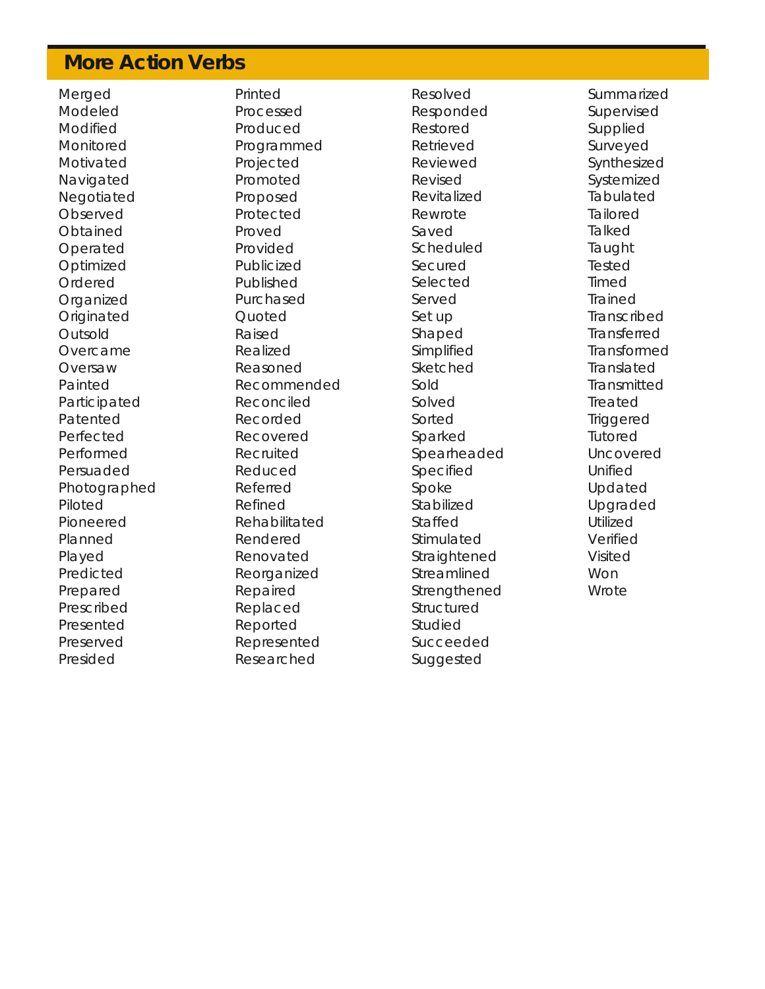### **More Action Verbs More Action Verbs**

Merged Modeled Modified Monitored Motivated **Navigated** Negotiated **Observed Obtained** Operated Optimized Ordered **Organized Originated** Outsold Overcame Oversaw Painted Participated Patented Perfected Performed Persuaded Photographed Piloted Pioneered Planned Played Predicted Prepared Prescribed Presented Preserved Presided

Printed Processed Produced Programmed Projected Promoted Proposed Protected Proved Provided Publicized Published Purchased **Quoted** Raised Realized Reasoned Recommended Reconciled Recorded Recovered Recruited Reduced Referred Refined Rehabilitated Rendered Renovated Reorganized Repaired Replaced Reported Represented Researched

Resolved Responded Restored Retrieved Reviewed Revised Revitalized Rewrote Saved Scheduled Secured Selected Served Set up Shaped Simplified Sketched Sold Solved Sorted Sparked Spearheaded Specified Spoke Stabilized Staffed Stimulated **Straightened** Streamlined Strengthened Structured Studied Succeeded Suggested

**Summarized** Supervised Supplied Surveyed Synthesized Systemized Tabulated Tailored **Talked** Taught Tested Timed Trained Transcribed Transferred Transformed Translated **Transmitted** Treated **Triggered** Tutored Uncovered Unified Updated Upgraded Utilized Verified Visited Won **Wrote**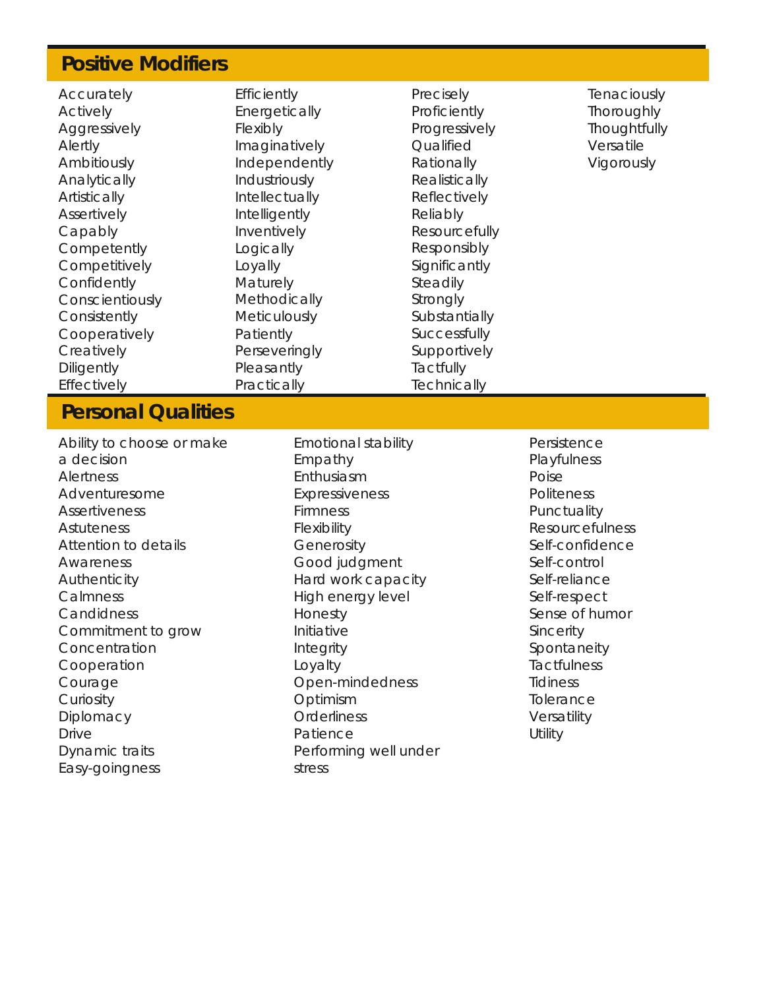#### **Positive Modifiers Positive Modifiers**

Accurately Actively Aggressively Alertly Ambitiously Analytically **Artistically Assertively** Capably **Competently Competitively** Confidently Conscientiously **Consistently** Cooperatively **Creatively Diligently** Effectively

**Efficiently Energetically** Flexibly Imaginatively Independently Industriously Intellectually Intelligently Inventively Logically Loyally Maturely **Methodically Meticulously** Patiently Perseveringly **Pleasantly Practically** 

Precisely **Proficiently** Progressively **Qualified** Rationally Realistically Reflectively Reliably Resourcefully Responsibly Significantly Steadily Strongly **Substantially Successfully** Supportively **Tactfully Technically** 

**Tenaciously Thoroughly Thoughtfully** Versatile Vigorously

#### **Personal Qualities Personal Qualities**

Ability to choose or make a decision Alertness Adventuresome **Assertiveness Astuteness** Attention to details Awareness Authenticity **Calmness Candidness** Commitment to grow Concentration Cooperation Courage **Curiosity Diplomacy** Drive Dynamic traits Easy-goingness

Emotional stability Empathy **Enthusiasm** Expressiveness Firmness Flexibility **Generosity** Good judgment Hard work capacity High energy level Honesty Initiative **Integrity** Loyalty Open-mindedness Optimism **Orderliness** Patience Performing well under stress

Persistence **Playfulness** Poise **Politeness Punctuality** Resourcefulness Self-confidence Self-control Self-reliance Self-respect Sense of humor **Sincerity** Spontaneity **Tactfulness Tidiness Tolerance** Versatility **Utility**